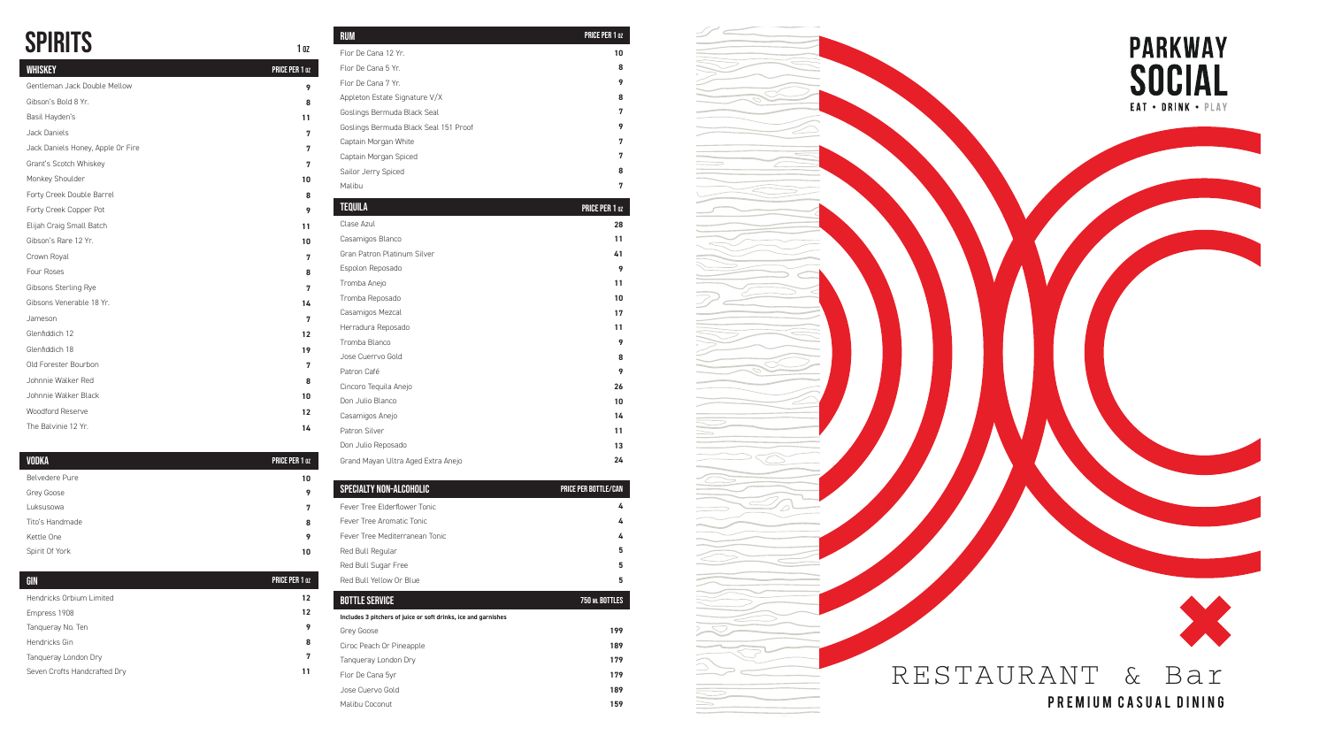# SPIRITS 102

| <b>WHISKEY</b>                    | <b>PRICE PER 1 0Z</b> |
|-----------------------------------|-----------------------|
| Gentleman Jack Double Mellow      | 9                     |
| Gibson's Bold 8 Yr.               | 8                     |
| Basil Hayden's                    | 11                    |
| Jack Daniels                      | 7                     |
| Jack Daniels Honey, Apple Or Fire | 7                     |
| Grant's Scotch Whiskey            | 7                     |
| Monkey Shoulder                   | 10                    |
| Forty Creek Double Barrel         | 8                     |
| Forty Creek Copper Pot            | 9                     |
| Elijah Craig Small Batch          | 11                    |
| Gibson's Rare 12 Yr.              | 10                    |
| Crown Royal                       | 7                     |
| Four Roses                        | 8                     |
| Gibsons Sterling Rye              | 7                     |
| Gibsons Venerable 18 Yr.          | 14                    |
| Jameson                           | 7                     |
| Glenfiddich 12                    | 12                    |
| Glenfiddich 18                    | 19                    |
| Old Forester Bourbon              | 7                     |
| Johnnie Walker Red                | 8                     |
| Johnnie Walker Black              | 10                    |
| Woodford Reserve                  | 12                    |
| The Balvinie 12 Yr.               | 14                    |

| Malibu                             | 7              |
|------------------------------------|----------------|
| <b>TEQUILA</b>                     | PRICE PER 1 oz |
| Clase Azul                         | 28             |
| Casamigos Blanco                   | 11             |
| <b>Gran Patron Platinum Silver</b> | 41             |
| Espolon Reposado                   | 9              |
| Tromba Anejo                       | 11             |
| Tromba Reposado                    | 10             |
| Casamigos Mezcal                   | 17             |
| Herradura Reposado                 | 11             |
| Tromba Blanco                      | 9              |
| Jose Cuerrvo Gold                  | 8              |
| Patron Café                        | 9              |
| Cincoro Tequila Anejo              | 26             |
| Don Julio Blanco                   | 10             |
| Casamigos Anejo                    | 14             |
| Patron Silver                      | 11             |
| Don Julio Reposado                 | 13             |
| Grand Mayan Ultra Aged Extra Anejo | 24             |
|                                    |                |

| <b>SPECIALTY NON-ALCOHOLIC</b> | <b>PRICE PER BOTTLE/CAN</b> |
|--------------------------------|-----------------------------|
| Fever Tree Elderflower Tonic   | 4                           |
| Fever Tree Aromatic Tonic      | 4                           |
| Fever Tree Mediterranean Tonic | 4                           |
| Red Bull Regular               | 5                           |
| Red Bull Sugar Free            | 5                           |
| Red Bull Yellow Or Blue        | 5                           |

Sailor Jerry Spiced

| <b>RUM</b>                            | <b>PRICE PER 1 0Z</b> |
|---------------------------------------|-----------------------|
| Flor De Cana 12 Yr.                   | 10                    |
| Flor De Cana 5 Yr.                    | 8                     |
| Flor De Cana 7 Yr.                    | 9                     |
| Appleton Estate Signature V/X         | 8                     |
| Goslings Bermuda Black Seal           | 7                     |
| Goslings Bermuda Black Seal 151 Proof | 9                     |
| Captain Morgan White                  | 7                     |
| Captain Morgan Spiced                 | 7                     |

| <b>BOTTLE SERVICE</b>                                          | <b>750 ML BOTTLES</b> |  |
|----------------------------------------------------------------|-----------------------|--|
| Includes 3 pitchers of juice or soft drinks, ice and garnishes |                       |  |
| Grey Goose                                                     | 199                   |  |
| Ciroc Peach Or Pineapple                                       | 189                   |  |
| Tangueray London Dry                                           | 179                   |  |
| Flor De Cana 5yr                                               | 179                   |  |
| Jose Cuervo Gold                                               | 189                   |  |
| Malibu Coconut                                                 | 159                   |  |

| <b>VODKA</b>    | PRICE PER 1 02 |
|-----------------|----------------|
| Belvedere Pure  | 10             |
| Grey Goose      | 9              |
| Luksusowa       | 7              |
| Tito's Handmade | 8              |
| Kettle One      | 9              |
| Spirit Of York  | 10             |

| GIN                          | <b>PRICE PER 1 0Z</b> |
|------------------------------|-----------------------|
| Hendricks Orbium Limited     | 12                    |
| Empress 1908                 | 12                    |
| Tanqueray No. Ten            | 9                     |
| Hendricks Gin                | 8                     |
| Tanqueray London Dry         | 7                     |
| Seven Crofts Handcrafted Dry | 11                    |
|                              |                       |

**8**



PREMIUM CASUAL DINING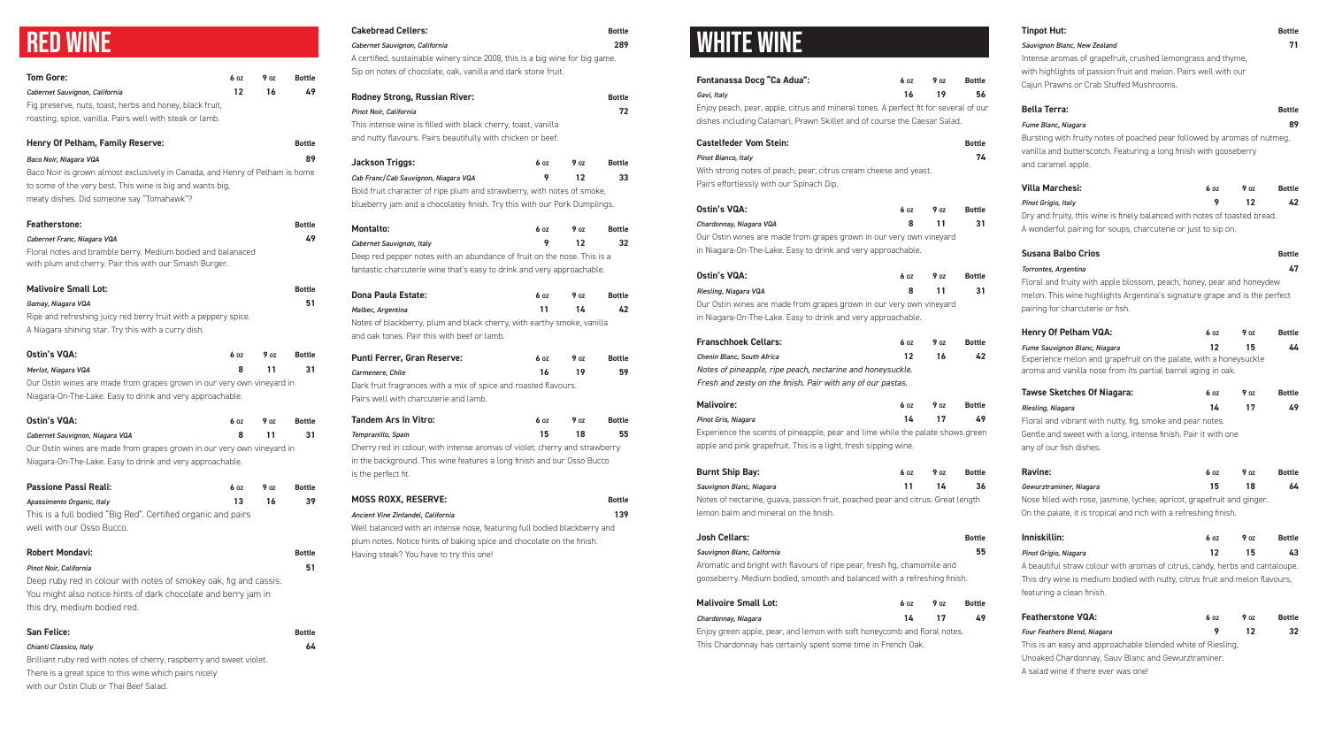### RED WINE

| <b>Tom Gore:</b>                                                                                                                    | 60Z               | 90z | <b>Bottle</b> |
|-------------------------------------------------------------------------------------------------------------------------------------|-------------------|-----|---------------|
| Cabernet Sauvignon, California                                                                                                      | $12 \overline{ }$ | 16  | 49            |
| Fig preserve, nuts, toast, herbs and honey, black fruit,                                                                            |                   |     |               |
| roasting, spice, vanilla. Pairs well with steak or lamb.                                                                            |                   |     |               |
|                                                                                                                                     |                   |     |               |
| Henry Of Pelham, Family Reserve:                                                                                                    |                   |     | <b>Bottle</b> |
| Baco Noir, Niagara VQA                                                                                                              |                   |     | 89            |
| Baco Noir is grown almost exclusively in Canada, and Henry of Pelham is home                                                        |                   |     |               |
| to some of the very best. This wine is big and wants big,                                                                           |                   |     |               |
| meaty dishes. Did someone say "Tomahawk"?                                                                                           |                   |     |               |
| <b>Featherstone:</b>                                                                                                                |                   |     | <b>Bottle</b> |
| Cabernet Franc, Niagara VQA                                                                                                         |                   |     | 49            |
| Floral notes and bramble berry. Medium bodied and balanaced                                                                         |                   |     |               |
| with plum and cherry. Pair this with our Smash Burger.                                                                              |                   |     |               |
| <b>Malivoire Small Lot:</b>                                                                                                         |                   |     | <b>Bottle</b> |
| Gamay, Niagara VQA                                                                                                                  |                   |     | 51            |
| Ripe and refreshing juicy red berry fruit with a peppery spice.                                                                     |                   |     |               |
| A Niagara shining star. Try this with a curry dish.                                                                                 |                   |     |               |
|                                                                                                                                     |                   |     |               |
| <b>Ostin's VQA:</b>                                                                                                                 | 6 oz              | 90Z | <b>Bottle</b> |
| Merlot, Niagara VQA                                                                                                                 | 8                 | 11  | 31            |
| Our Ostin wines are made from grapes grown in our very own vineyard in                                                              |                   |     |               |
| Niagara-On-The-Lake. Easy to drink and very approachable.                                                                           |                   |     |               |
| <b>Ostin's VQA:</b>                                                                                                                 | 60Z               | 90Z | <b>Bottle</b> |
| Cabernet Sauvignon, Niagara VQA                                                                                                     | 8                 | 11  | 31            |
| Our Ostin wines are made from grapes grown in our very own vineyard in                                                              |                   |     |               |
| Niagara-On-The-Lake. Easy to drink and very approachable.                                                                           |                   |     |               |
| <b>Passione Passi Reali:</b>                                                                                                        | 60Z               | 90Z | <b>Bottle</b> |
| Apassimento Organic, Italy                                                                                                          | 13                | 16  | 39            |
| This is a full bodied "Big Red". Certified organic and pairs                                                                        |                   |     |               |
| well with our Osso Bucco.                                                                                                           |                   |     |               |
|                                                                                                                                     |                   |     |               |
| <b>Robert Mondavi:</b>                                                                                                              |                   |     | <b>Bottle</b> |
| Pinot Noir, California                                                                                                              |                   |     | 51            |
| Deep ruby red in colour with notes of smokey oak, fig and cassis.<br>You might also notice hints of dark chocolate and berry jam in |                   |     |               |
| this dry, medium bodied red.                                                                                                        |                   |     |               |
|                                                                                                                                     |                   |     |               |
| <b>San Felice:</b>                                                                                                                  |                   |     | <b>Bottle</b> |
| Chianti Classico, Italy                                                                                                             |                   |     | 64            |
| Brilliant ruby red with notes of cherry, raspberry and sweet violet.                                                                |                   |     |               |
| There is a great spice to this wine which pairs nicely                                                                              |                   |     |               |

### **Cakebread Cellers: Bottle** *Cabernet Sauvignon, California* **289** A certified, sustainable winery since 2008, this is a big wine for big game. Sip on notes of chocolate, oak, vanilla and dark stone fruit. **Rodney Strong, Russian River:** And Allen and Bottle *Pinot Noir, California* **72** This intense wine is filled with black cherry, toast, vanilla and nutty flavours. Pairs beautifully with chicken or beef. **Jackson Triggs: 6 OZ** 9 OZ Bottle *Cab Franc/Cab Sauvignon, Niagara VQA* **9 12 33** Bold fruit character of ripe plum and strawberry, with notes of smoke, blueberry jam and a chocolatey finish. Try this with our Pork Dumplings. **Montalto:** 6 oz 9 oz Bottle *Cabernet Sauvignon, Italy* **9 12 32** Deep red pepper notes with an abundance of fruit on the nose. This is a fantastic charcuterie wine that's easy to drink and very approachable.

with our Ostin Club or Thai Beef Salad.

| <b>Dona Paula Estate:</b>                                              | 6 oz | 90Z | <b>Bottle</b> |
|------------------------------------------------------------------------|------|-----|---------------|
| Malbec, Argentina                                                      | 11   | 14  | 42            |
| Notes of blackberry, plum and black cherry, with earthy smoke, vanilla |      |     |               |
| and oak tones. Pair this with beef or lamb.                            |      |     |               |
|                                                                        |      |     |               |
| <b>Punti Ferrer, Gran Reserve:</b>                                     | 6 oz | 90Z | <b>Bottle</b> |
| Carmenere, Chile                                                       | 16   | 19  | 59            |
| Dark fruit fragrances with a mix of spice and roasted flavours.        |      |     |               |
| Pairs well with charcuterie and lamb.                                  |      |     |               |
|                                                                        |      |     |               |

| <b>Tandem Ars In Vitro:</b>                                                | 6 oz | 90z | <b>Bottle</b> |
|----------------------------------------------------------------------------|------|-----|---------------|
| Tempranillo, Spain                                                         | 15   | 18  | 55            |
| Cherry red in colour, with intense aromas of violet, cherry and strawberry |      |     |               |
| in the background. This wine features a long finish and our Osso Bucco     |      |     |               |
| is the perfect fit.                                                        |      |     |               |

| <b>MOSS ROXX, RESERVE:</b>                                               | <b>Bottle</b> |
|--------------------------------------------------------------------------|---------------|
| Ancient Vine Zinfandel, California                                       | 139           |
| Well balanced with an intense nose, featuring full bodied blackberry and |               |

Well balanced with an intense nose, featuring full bodied blackberry and plum notes. Notice hints of baking spice and chocolate on the finish. Having steak? You have to try this one!

#### *Sauvignon Blanc, New Zealand* **71**

Intense aromas of grapefruit, crushed lemongrass and thyme, with highlights of passion fruit and melon. Pairs well with our Cajun Prawns or Crab Stuffed Mushrooms.

### **Bella Terra: Bottle** *Fume Blanc, Niagara* **89**

Bursting with fruity notes of poached pear followed by aromas of nutmeg, vanilla and butterscotch. Featuring a long finish with gooseberry and caramel apple.

| 6 oz | 9 nz | <b>Bottle</b>                                                                                                                              |
|------|------|--------------------------------------------------------------------------------------------------------------------------------------------|
| 9    | 12   | 42                                                                                                                                         |
|      |      |                                                                                                                                            |
|      |      |                                                                                                                                            |
|      |      | Dry and fruity, this wine is finely balanced with notes of toasted bread.<br>A wonderful pairing for soups, charcuterie or just to sip on. |

| <b>Susana Balbo Crios</b>                                                  | <b>Bottle</b> |
|----------------------------------------------------------------------------|---------------|
| Torrontes, Argentina                                                       | 47            |
| Floral and fruity with apple blossom, peach, honey, pear and honeydew      |               |
| melon. This wine highlights Argentina's signature grape and is the perfect |               |
| pairing for charcuterie or fish.                                           |               |

| <b>Henry Of Pelham VQA:</b>                                       | 6 oz | 90z | <b>Bottle</b> |
|-------------------------------------------------------------------|------|-----|---------------|
| Fume Sauvignon Blanc, Niagara                                     | 12   | 15  | 44            |
| Experience melon and grapefruit on the palate, with a honeysuckle |      |     |               |
| aroma and vanilla nose from its partial barrel aging in oak.      |      |     |               |
| Tarres Chatches Af Niamenes                                       |      |     |               |

| <b>Tawse Sketches Of Niagara:</b>                              | 6 oz | 90z | <b>Bottle</b> |
|----------------------------------------------------------------|------|-----|---------------|
| Riesling, Niagara                                              | 14   | 17  | 49            |
| Floral and vibrant with nutty, fig, smoke and pear notes.      |      |     |               |
| Gentle and sweet with a long, intense finish. Pair it with one |      |     |               |
| any of our fish dishes.                                        |      |     |               |
|                                                                |      |     |               |

| <b>Ravine:</b>                                                          | 6 oz | <b>9</b> nz | <b>Bottle</b> |
|-------------------------------------------------------------------------|------|-------------|---------------|
| Gewurztraminer, Niagara                                                 | 15   | 18          | 64            |
| Nose filled with rose, jasmine, lychee, apricot, grapefruit and ginger. |      |             |               |
| On the palate, it is tropical and rich with a refreshing finish.        |      |             |               |

| Inniskillin:          | 6 oz | <b>9 oz</b> | Bottle |
|-----------------------|------|-------------|--------|
| Pinot Grigio, Niagara |      |             |        |

A beautiful straw colour with aromas of citrus, candy, herbs and cantaloupe. This dry wine is medium bodied with nutty, citrus fruit and melon flavours, featuring a clean finish.

| <b>Featherstone VQA:</b>                                    | 6 oz | 90z | <b>Bottle</b> |
|-------------------------------------------------------------|------|-----|---------------|
| <b>Four Feathers Blend, Niagara</b>                         | 9    | -12 | -32           |
| This is an easy and approachable blended white of Riesling. |      |     |               |
| Unoaked Chardonnay, Sauv Blanc and Gewurztraminer.          |      |     |               |
| A salad wine if there ever was one!                         |      |     |               |

### WHITE WINE

| Fontanassa Docg "Ca Adua":                                                                                                                                       | 60Z | 90z | <b>Bottle</b> |
|------------------------------------------------------------------------------------------------------------------------------------------------------------------|-----|-----|---------------|
| Gavi, Italy                                                                                                                                                      | 16  | 19  | 56            |
| Enjoy peach, pear, apple, citrus and mineral tones. A perfect fit for several of our<br>dishes including Calamari, Prawn Skillet and of course the Caesar Salad. |     |     |               |
| <b>Castelfeder Vom Stein:</b>                                                                                                                                    |     |     | <b>Bottle</b> |
| Pinot Bianco, Italy<br>With strong notes of peach, pear, citrus cream cheese and yeast.                                                                          |     |     | 74            |
| Pairs effortlessly with our Spinach Dip.                                                                                                                         |     |     |               |
| <b>Ostin's VQA:</b>                                                                                                                                              | 60Z | 90Z | <b>Bottle</b> |
| Chardonnay, Niagara VQA                                                                                                                                          | 8   | 11  | 31            |
| Our Ostin wines are made from grapes grown in our very own vineyard<br>in Niagara-On-The-Lake. Easy to drink and very approachable.                              |     |     |               |
| Ostin's VQA:                                                                                                                                                     | 60Z | 90z | <b>Bottle</b> |
| Riesling, Niagara VQA                                                                                                                                            | 8   | 11  | 31            |
| Our Ostin wines are made from grapes grown in our very own vineyard                                                                                              |     |     |               |
| in Niagara-On-The-Lake. Easy to drink and very approachable.                                                                                                     |     |     |               |
| <b>Franschhoek Cellars:</b>                                                                                                                                      | 60Z | 90Z | <b>Bottle</b> |
| Chenin Blanc, South Africa                                                                                                                                       | 12  | 16  | 42            |
| Notes of pineapple, ripe peach, nectarine and honeysuckle.                                                                                                       |     |     |               |
| Fresh and zesty on the finish. Pair with any of our pastas.                                                                                                      |     |     |               |
| <b>Malivoire:</b>                                                                                                                                                | 60Z | 90Z | <b>Bottle</b> |
| Pinot Gris, Niagara                                                                                                                                              | 14  | 17  | 49            |
| Experience the scents of pineapple, pear and lime while the palate shows green<br>apple and pink grapefruit. This is a light, fresh sipping wine.                |     |     |               |
| <b>Burnt Ship Bay:</b>                                                                                                                                           | 60Z | 90Z | <b>Bottle</b> |
| Sauvignon Blanc, Niagara                                                                                                                                         | 11  | 14  | 36            |
| Notes of nectarine, guava, passion fruit, poached pear and citrus. Great length<br>lemon balm and mineral on the finish.                                         |     |     |               |
|                                                                                                                                                                  |     |     | <b>Bottle</b> |
| Josh Cellars:                                                                                                                                                    |     |     |               |
| Sauvignon Blanc, Calfornia                                                                                                                                       |     |     | 55            |
| Aromatic and bright with flavours of ripe pear, fresh fig, chamomile and                                                                                         |     |     |               |

| <b>Malivoire Small Lot:</b>                                        | 6 OZ | <b>9</b> oz | <b>Bottle</b> |
|--------------------------------------------------------------------|------|-------------|---------------|
| Chardonnay, Niagara                                                |      | 14 17       | 49            |
| Epiguarean apple, pear, and lemon with soft beneves mondered notes |      |             |               |

Enjoy green apple, pear, and lemon with soft honeycomb and floral notes. This Chardonnay has certainly spent some time in French Oak.

#### **Tinpot Hut: Bottle**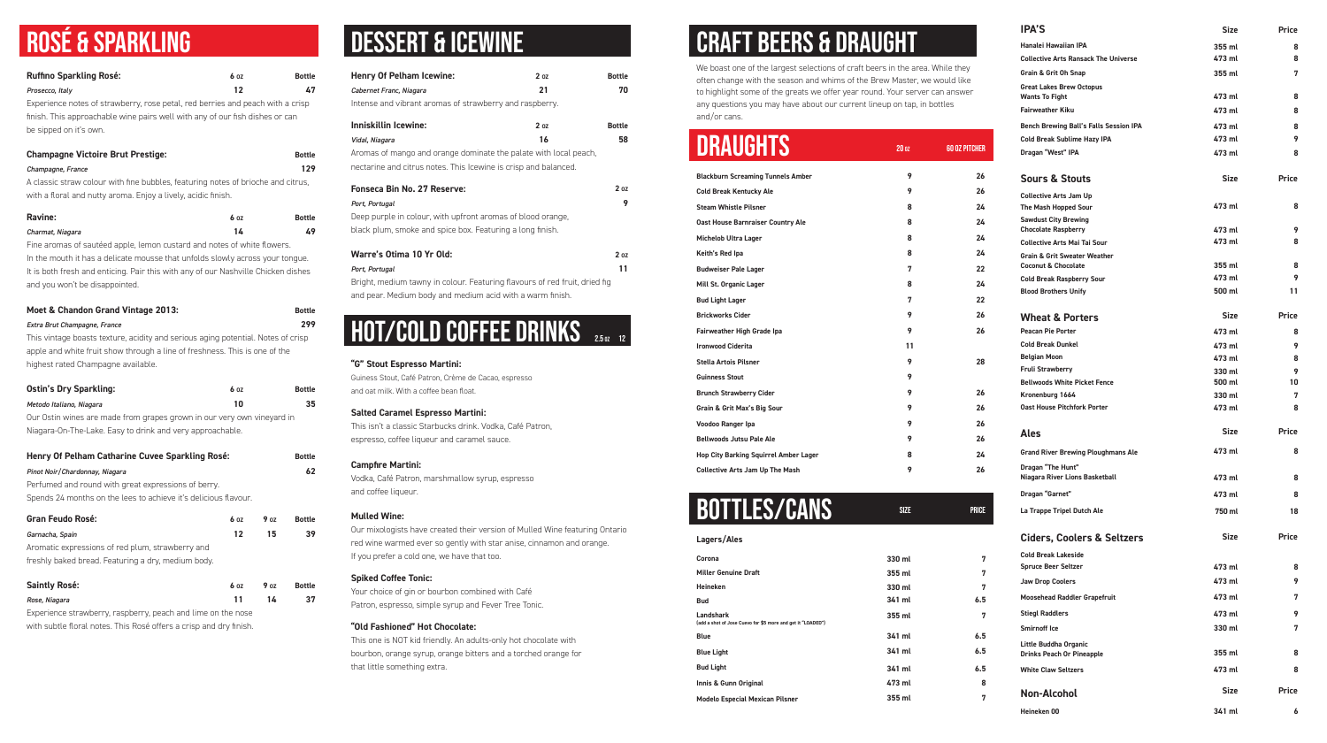## ROSÉ & SPARKLING

| <b>Ruffino Sparkling Rosé:</b>                                                                    | 60Z |     | <b>Bottle</b> |
|---------------------------------------------------------------------------------------------------|-----|-----|---------------|
| Prosecco, Italy<br>Experience notes of strawberry, rose petal, red berries and peach with a crisp | 12  |     | 47            |
| finish. This approachable wine pairs well with any of our fish dishes or can                      |     |     |               |
| be sipped on it's own.                                                                            |     |     |               |
|                                                                                                   |     |     |               |
| <b>Champagne Victoire Brut Prestige:</b>                                                          |     |     | <b>Bottle</b> |
| Champagne, France                                                                                 |     |     | 129           |
| A classic straw colour with fine bubbles, featuring notes of brioche and citrus,                  |     |     |               |
| with a floral and nutty aroma. Enjoy a lively, acidic finish.                                     |     |     |               |
| <b>Ravine:</b>                                                                                    | 60Z |     | <b>Bottle</b> |
| Charmat, Niagara                                                                                  | 14  |     | 49            |
| Fine aromas of sautéed apple, lemon custard and notes of white flowers.                           |     |     |               |
| In the mouth it has a delicate mousse that unfolds slowly across your tongue.                     |     |     |               |
| It is both fresh and enticing. Pair this with any of our Nashville Chicken dishes                 |     |     |               |
| and you won't be disappointed.                                                                    |     |     |               |
| Moet & Chandon Grand Vintage 2013:                                                                |     |     | <b>Bottle</b> |
| Extra Brut Champagne, France                                                                      |     |     | 299           |
| This vintage boasts texture, acidity and serious aging potential. Notes of crisp                  |     |     |               |
| apple and white fruit show through a line of freshness. This is one of the                        |     |     |               |
| highest rated Champagne available.                                                                |     |     |               |
| <b>Ostin's Dry Sparkling:</b>                                                                     | 60z |     | <b>Bottle</b> |
| Metodo Italiano, Niagara                                                                          | 10  |     | 35            |
| Our Ostin wines are made from grapes grown in our very own vineyard in                            |     |     |               |
| Niagara-On-The-Lake. Easy to drink and very approachable.                                         |     |     |               |
|                                                                                                   |     |     |               |
| Henry Of Pelham Catharine Cuvee Sparkling Rosé:                                                   |     |     | <b>Bottle</b> |
| Pinot Noir/Chardonnay, Niagara                                                                    |     |     | 62            |
| Perfumed and round with great expressions of berry.                                               |     |     |               |
| Spends 24 months on the lees to achieve it's delicious flavour.                                   |     |     |               |
| <b>Gran Feudo Rosé:</b>                                                                           | 60Z | 90Z | <b>Bottle</b> |
| Garnacha, Spain                                                                                   | 12  | 15  | 39            |
| Aromatic expressions of red plum, strawberry and                                                  |     |     |               |
| freshly baked bread. Featuring a dry, medium body.                                                |     |     |               |
| <b>Saintly Rosé:</b>                                                                              | 60Z | 90Z | <b>Bottle</b> |
| Rose, Niagara                                                                                     | 11  | 14  | 37            |
| Experience strawberry, raspberry, peach and lime on the nose                                      |     |     |               |

with subtle floral notes. This Rosé offers a crisp and dry finish.

## DESSERT & ICEWINE

| <b>Henry Of Pelham Icewine:</b>                                  | 2 <sub>0z</sub> | <b>Bottle</b> |
|------------------------------------------------------------------|-----------------|---------------|
| Cabernet Franc, Niagara                                          | 21              | 70            |
| Intense and vibrant aromas of strawberry and raspberry.          |                 |               |
| Inniskillin Icewine:                                             | 2 <sub>oz</sub> | <b>Bottle</b> |
| Vidal, Niagara                                                   | 16              | 58            |
| Aromas of mango and orange dominate the palate with local peach, |                 |               |
| nectarine and citrus notes. This Icewine is crisp and balanced.  |                 |               |
| Fonseca Bin No. 27 Reserve:                                      |                 | 2 oz          |
| Port, Portugal                                                   |                 | 9             |
| Deep purple in colour, with upfront aromas of blood orange,      |                 |               |
| black plum, smoke and spice box. Featuring a long finish.        |                 |               |
|                                                                  |                 |               |
| Warre's Otima 10 Yr Old:                                         |                 | 2 oz          |
| Port, Portugal                                                   |                 |               |

Bright, medium tawny in colour. Featuring flavours of red fruit, dried fig and pear. Medium body and medium acid with a warm finish.

## **HOT/COLD COFFEE DRINKS** 2.502 12

| <b>DRAUGHTS</b>                              | 200z | <b>60 OZ PITCHER</b> |
|----------------------------------------------|------|----------------------|
| <b>Blackburn Screaming Tunnels Amber</b>     | 9    | 26                   |
| <b>Cold Break Kentucky Ale</b>               | 9    | 26                   |
| <b>Steam Whistle Pilsner</b>                 | 8    | 24                   |
| <b>Oast House Barnraiser Country Ale</b>     | 8    | 24                   |
| <b>Michelob Ultra Lager</b>                  | 8    | 24                   |
| Keith's Red Ipa                              | 8    | 24                   |
| <b>Budweiser Pale Lager</b>                  | 7    | 22                   |
| Mill St. Organic Lager                       | 8    | 24                   |
| <b>Bud Light Lager</b>                       | 7    | 22                   |
| <b>Brickworks Cider</b>                      | 9    | 26                   |
| Fairweather High Grade Ipa                   | 9    | 26                   |
| <b>Ironwood Ciderita</b>                     | 11   |                      |
| <b>Stella Artois Pilsner</b>                 | 9    | 28                   |
| <b>Guinness Stout</b>                        | 9    |                      |
| <b>Brunch Strawberry Cider</b>               | 9    | 26                   |
| <b>Grain &amp; Grit Max's Big Sour</b>       | 9    | 26                   |
| Voodoo Ranger Ipa                            | 9    | 26                   |
| <b>Bellwoods Jutsu Pale Ale</b>              | 9    | 26                   |
| <b>Hop City Barking Squirrel Amber Lager</b> | 8    | 24                   |
| <b>Collective Arts Jam Up The Mash</b>       | 9    | 26                   |

### BOTTLES/CANS

### **Lagers/Ales**

| Corona                                                                          | 330 ml | 7   |
|---------------------------------------------------------------------------------|--------|-----|
| <b>Miller Genuine Draft</b>                                                     | 355 ml | 7   |
| <b>Heineken</b>                                                                 | 330 ml | 7   |
| <b>Bud</b>                                                                      | 341 ml | 6.5 |
| <b>Landshark</b><br>(add a shot of Jose Cuevo for \$5 more and get it "LOADED") | 355 ml | 7   |
| <b>Blue</b>                                                                     | 341 ml | 6.5 |
| <b>Blue Light</b>                                                               | 341 ml | 6.5 |
| <b>Bud Light</b>                                                                | 341 ml | 6.5 |
| Innis & Gunn Original                                                           | 473 ml | 8   |
| <b>Modelo Especial Mexican Pilsner</b>                                          | 355 ml | 7   |

SIZE PRICE

# CRAFT BEERS & DRAUGHT

We boast one of the largest selections of craft beers in the area. While they often change with the season and whims of the Brew Master, we would like to highlight some of the greats we offer year round. Your server can answer any questions you may have about our current lineup on tap, in bottles and/or cans.

| <b>IPA'S</b>                                                              | <b>Size</b> | <b>Price</b> |
|---------------------------------------------------------------------------|-------------|--------------|
| <b>Hanalei Hawaiian IPA</b>                                               | 355 ml      | 8            |
| <b>Collective Arts Ransack The Universe</b>                               | 473 ml      | 8            |
| <b>Grain &amp; Grit Oh Snap</b>                                           | 355 ml      | 7            |
| <b>Great Lakes Brew Octopus</b><br><b>Wants To Fight</b>                  | 473 ml      | 8            |
| <b>Fairweather Kiku</b>                                                   | 473 ml      | 8            |
| <b>Bench Brewing Ball's Falls Session IPA</b>                             |             |              |
|                                                                           | 473 ml      | 8            |
| <b>Cold Break Sublime Hazy IPA</b>                                        | 473 ml      | 9            |
| Dragan "West" IPA                                                         | 473 ml      | 8            |
| <b>Sours &amp; Stouts</b>                                                 | <b>Size</b> | <b>Price</b> |
| <b>Collective Arts Jam Up</b>                                             |             |              |
| The Mash Hopped Sour                                                      | 473 ml      | 8            |
| <b>Sawdust City Brewing</b>                                               |             |              |
| <b>Chocolate Raspberry</b>                                                | 473 ml      | 9            |
| <b>Collective Arts Mai Tai Sour</b>                                       | 473 ml      | 8            |
| <b>Grain &amp; Grit Sweater Weather</b><br><b>Coconut &amp; Chocolate</b> | 355 ml      | 8            |
| <b>Cold Break Raspberry Sour</b>                                          | 473 ml      | 9            |
| <b>Blood Brothers Unify</b>                                               | 500 ml      | 11           |
|                                                                           |             |              |
| <b>Wheat &amp; Porters</b>                                                | <b>Size</b> | <b>Price</b> |
| <b>Peacan Pie Porter</b>                                                  | 473 ml      | 8            |
| <b>Cold Break Dunkel</b>                                                  | 473 ml      | 9            |
| <b>Belgian Moon</b>                                                       | 473 ml      | 8            |
| <b>Fruli Strawberry</b>                                                   | 330 ml      | 9            |
| <b>Bellwoods White Picket Fence</b>                                       | 500 ml      | 10           |
| Kronenburg 1664                                                           | 330 ml      | 7            |
| <b>Oast House Pitchfork Porter</b>                                        | 473 ml      | 8            |
| <b>Ales</b>                                                               | <b>Size</b> | <b>Price</b> |
| <b>Grand River Brewing Ploughmans Ale</b>                                 | 473 ml      | 8            |
| Dragan "The Hunt"                                                         |             |              |
| <b>Niagara River Lions Basketball</b>                                     | 473 ml      | 8            |
| Dragan "Garnet"                                                           | 473 ml      | 8            |
| La Trappe Tripel Dutch Ale                                                | 750 ml      | 18           |
| <b>Ciders, Coolers &amp; Seltzers</b>                                     | <b>Size</b> | <b>Price</b> |
| <b>Cold Break Lakeside</b>                                                |             |              |
| <b>Spruce Beer Seltzer</b>                                                | 473 ml      | 8            |
| <b>Jaw Drop Coolers</b>                                                   | 473 ml      | 9            |
| <b>Moosehead Raddler Grapefruit</b>                                       | 473 ml      | 7            |
| <b>Stiegl Raddlers</b>                                                    | 473 ml      | 9            |
| <b>Smirnoff Ice</b>                                                       | 330 ml      | 7            |
| Little Buddha Organic<br><b>Drinks Peach Or Pineapple</b>                 | 355 ml      | 8            |
| <b>White Claw Seltzers</b>                                                | 473 ml      | 8            |
| <b>Non-Alcohol</b>                                                        | <b>Size</b> | <b>Price</b> |
| Heineken 00                                                               | 341 ml      | 6            |
|                                                                           |             |              |

#### **"G" Stout Espresso Martini:**

Guiness Stout, Café Patron, Crème de Cacao, espresso and oat milk. With a coffee bean float.

#### **Salted Caramel Espresso Martini:**

This isn't a classic Starbucks drink. Vodka, Café Patron, espresso, coffee liqueur and caramel sauce.

#### **Campfire Martini:**

Vodka, Café Patron, marshmallow syrup, espresso and coffee liqueur.

#### **Mulled Wine:**

Our mixologists have created their version of Mulled Wine featuring Ontario red wine warmed ever so gently with star anise, cinnamon and orange. If you prefer a cold one, we have that too.

#### **Spiked Coffee Tonic:**

Your choice of gin or bourbon combined with Café Patron, espresso, simple syrup and Fever Tree Tonic.

#### **"Old Fashioned" Hot Chocolate:**

This one is NOT kid friendly. An adults-only hot chocolate with bourbon, orange syrup, orange bitters and a torched orange for that little something extra.